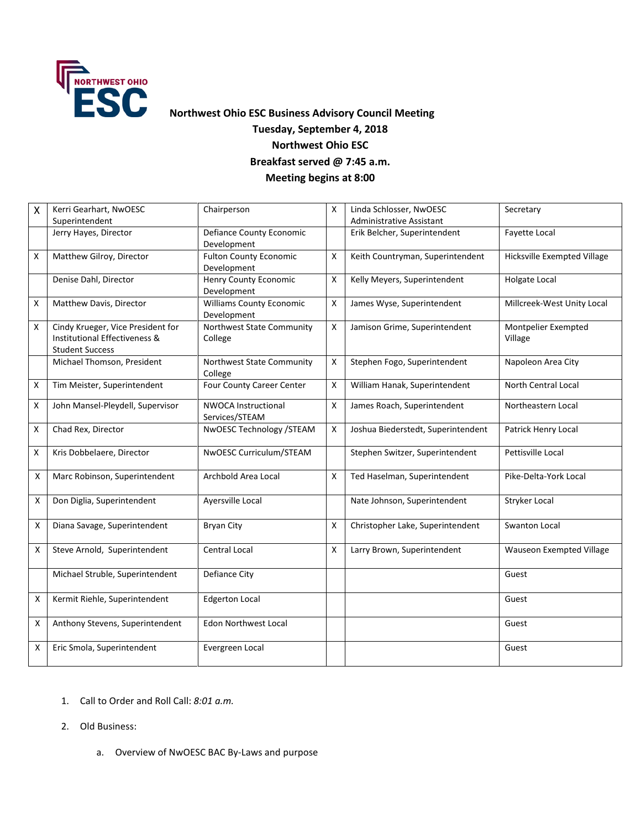

# **Northwest Ohio ESC Business Advisory Council Meeting Tuesday, September 4, 2018 Northwest Ohio ESC Breakfast served @ 7:45 a.m. Meeting begins at 8:00**

| $\mathsf{X}$ | Kerri Gearhart, NwOESC<br>Superintendent                                                     | Chairperson                                    | X                  | Linda Schlosser, NwOESC<br>Administrative Assistant | Secretary                      |
|--------------|----------------------------------------------------------------------------------------------|------------------------------------------------|--------------------|-----------------------------------------------------|--------------------------------|
|              | Jerry Hayes, Director                                                                        | Defiance County Economic<br>Development        |                    | Erik Belcher, Superintendent                        | <b>Favette Local</b>           |
| X            | Matthew Gilroy, Director                                                                     | <b>Fulton County Economic</b><br>Development   | X                  | Keith Countryman, Superintendent                    | Hicksville Exempted Village    |
|              | Denise Dahl, Director                                                                        | Henry County Economic<br>Development           | X                  | Kelly Meyers, Superintendent                        | Holgate Local                  |
| X            | Matthew Davis, Director                                                                      | <b>Williams County Economic</b><br>Development | X                  | James Wyse, Superintendent                          | Millcreek-West Unity Local     |
| X            | Cindy Krueger, Vice President for<br>Institutional Effectiveness &<br><b>Student Success</b> | Northwest State Community<br>College           | $\pmb{\mathsf{X}}$ | Jamison Grime, Superintendent                       | Montpelier Exempted<br>Village |
|              | Michael Thomson, President                                                                   | Northwest State Community<br>College           | X                  | Stephen Fogo, Superintendent                        | Napoleon Area City             |
| X            | Tim Meister, Superintendent                                                                  | Four County Career Center                      | X                  | William Hanak, Superintendent                       | North Central Local            |
| X            | John Mansel-Pleydell, Supervisor                                                             | <b>NWOCA Instructional</b><br>Services/STEAM   | X                  | James Roach, Superintendent                         | Northeastern Local             |
| X            | Chad Rex, Director                                                                           | NwOESC Technology / STEAM                      | X                  | Joshua Biederstedt, Superintendent                  | Patrick Henry Local            |
| X            | Kris Dobbelaere, Director                                                                    | NwOESC Curriculum/STEAM                        |                    | Stephen Switzer, Superintendent                     | Pettisville Local              |
| X            | Marc Robinson, Superintendent                                                                | Archbold Area Local                            | X                  | Ted Haselman, Superintendent                        | Pike-Delta-York Local          |
| Χ            | Don Diglia, Superintendent                                                                   | Ayersville Local                               |                    | Nate Johnson, Superintendent                        | Stryker Local                  |
| Χ            | Diana Savage, Superintendent                                                                 | <b>Bryan City</b>                              | X                  | Christopher Lake, Superintendent                    | <b>Swanton Local</b>           |
| Χ            | Steve Arnold, Superintendent                                                                 | <b>Central Local</b>                           | X                  | Larry Brown, Superintendent                         | Wauseon Exempted Village       |
|              | Michael Struble, Superintendent                                                              | Defiance City                                  |                    |                                                     | Guest                          |
| X            | Kermit Riehle, Superintendent                                                                | <b>Edgerton Local</b>                          |                    |                                                     | Guest                          |
| Χ            | Anthony Stevens, Superintendent                                                              | <b>Edon Northwest Local</b>                    |                    |                                                     | Guest                          |
| Χ            | Eric Smola, Superintendent                                                                   | Evergreen Local                                |                    |                                                     | Guest                          |

- 1. Call to Order and Roll Call: *8:01 a.m.*
- 2. Old Business:
	- a. Overview of NwOESC BAC By-Laws and purpose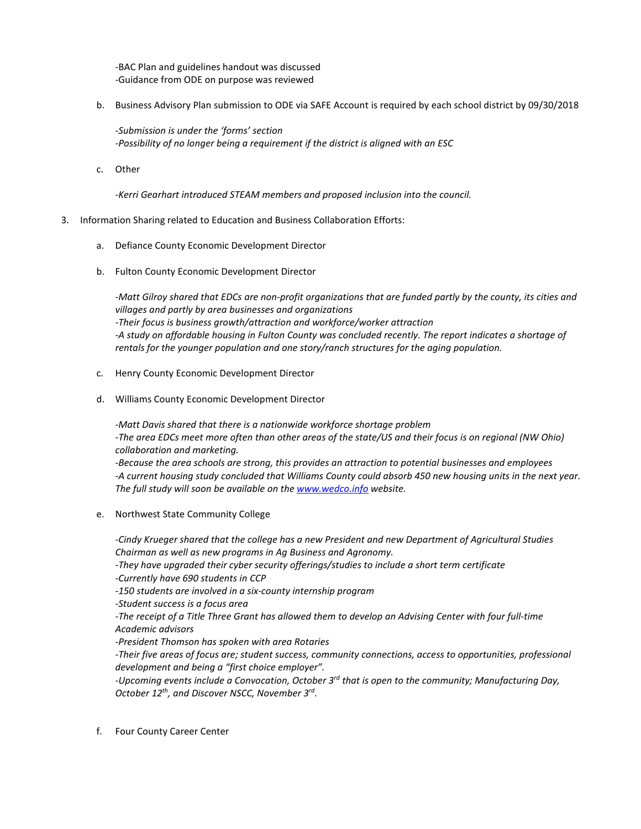-BAC Plan and guidelines handout was discussed -Guidance from ODE on purpose was reviewed

b. Business Advisory Plan submission to ODE via SAFE Account is required by each school district by 09/30/2018

*-Submission is under the 'forms' section -Possibility of no longer being a requirement if the district is aligned with an ESC*

c. Other

-*Kerri Gearhart introduced STEAM members and proposed inclusion into the council.*

- 3. Information Sharing related to Education and Business Collaboration Efforts:
	- a. Defiance County Economic Development Director
	- b. Fulton County Economic Development Director

*-Matt Gilroy shared that EDCs are non-profit organizations that are funded partly by the county, its cities and villages and partly by area businesses and organizations -Their focus is business growth/attraction and workforce/worker attraction -A study on affordable housing in Fulton County was concluded recently. The report indicates a shortage of rentals for the younger population and one story/ranch structures for the aging population.*

- c. Henry County Economic Development Director
- d. Williams County Economic Development Director

*-Matt Davis shared that there is a nationwide workforce shortage problem -The area EDCs meet more often than other areas of the state/US and their focus is on regional (NW Ohio) collaboration and marketing.*

*-Because the area schools are strong, this provides an attraction to potential businesses and employees -A current housing study concluded that Williams County could absorb 450 new housing units in the next year. The full study will soon be available on th[e www.wedco.info](http://www.wedco.info/) website.*

e. Northwest State Community College

*-Cindy Krueger shared that the college has a new President and new Department of Agricultural Studies Chairman as well as new programs in Ag Business and Agronomy.*

*-They have upgraded their cyber security offerings/studies to include a short term certificate -Currently have 690 students in CCP*

*-150 students are involved in a six-county internship program*

*-Student success is a focus area*

*-The receipt of a Title Three Grant has allowed them to develop an Advising Center with four full-time Academic advisors*

*-President Thomson has spoken with area Rotaries* 

*-Their five areas of focus are; student success, community connections, access to opportunities, professional development and being a "first choice employer".*

*-Upcoming events include a Convocation, October 3rd that is open to the community; Manufacturing Day, October 12th, and Discover NSCC, November 3rd.*

f. Four County Career Center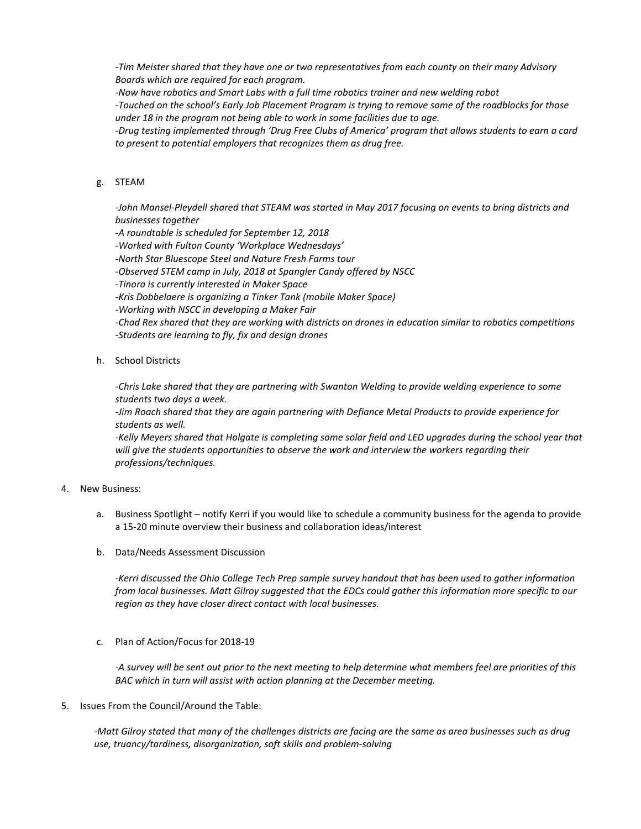*-Tim Meister shared that they have one or two representatives from each county on their many Advisory Boards which are required for each program.*

*-Now have robotics and Smart Labs with a full time robotics trainer and new welding robot*

*-Touched on the school's Early Job Placement Program is trying to remove some of the roadblocks for those under 18 in the program not being able to work in some facilities due to age.*

*-Drug testing implemented through 'Drug Free Clubs of America' program that allows students to earn a card to present to potential employers that recognizes them as drug free.*

## g. STEAM

*-John Mansel-Pleydell shared that STEAM was started in May 2017 focusing on events to bring districts and businesses together* 

*-A roundtable is scheduled for September 12, 2018*

*-Worked with Fulton County 'Workplace Wednesdays'*

*-North Star Bluescope Steel and Nature Fresh Farms tour*

*-Observed STEM camp in July, 2018 at Spangler Candy offered by NSCC*

*-Tinora is currently interested in Maker Space*

*-Kris Dobbelaere is organizing a Tinker Tank (mobile Maker Space)*

*-Working with NSCC in developing a Maker Fair*

*-Chad Rex shared that they are working with districts on drones in education similar to robotics competitions -Students are learning to fly, fix and design drones*

## h. School Districts

*-Chris Lake shared that they are partnering with Swanton Welding to provide welding experience to some students two days a week.*

*-Jim Roach shared that they are again partnering with Defiance Metal Products to provide experience for students as well.*

*-Kelly Meyers shared that Holgate is completing some solar field and LED upgrades during the school year that will give the students opportunities to observe the work and interview the workers regarding their professions/techniques.*

### 4. New Business:

- a. Business Spotlight notify Kerri if you would like to schedule a community business for the agenda to provide a 15-20 minute overview their business and collaboration ideas/interest
- b. Data/Needs Assessment Discussion

*-Kerri discussed the Ohio College Tech Prep sample survey handout that has been used to gather information from local businesses. Matt Gilroy suggested that the EDCs could gather this information more specific to our region as they have closer direct contact with local businesses.* 

c. Plan of Action/Focus for 2018-19

*-A survey will be sent out prior to the next meeting to help determine what members feel are priorities of this BAC which in turn will assist with action planning at the December meeting.*

### 5. Issues From the Council/Around the Table:

*-Matt Gilroy stated that many of the challenges districts are facing are the same as area businesses such as drug use, truancy/tardiness, disorganization, soft skills and problem-solving*